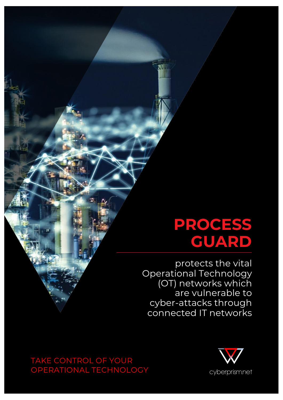# **PROCESS GUARD**

protects the vital Operational Technology (OT) networks which are vulnerable to cyber-attacks through connected IT networks

OPERATIONAL TECHNOLOGY TAKE CONTROL OF YOUR OPERATIONAL TECHNOLOGY

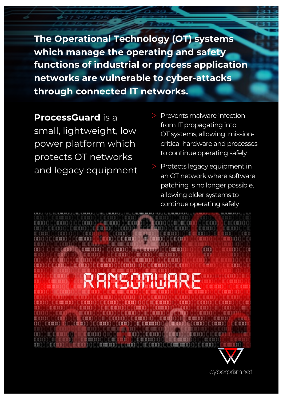**The Operational Technology (OT) systems which manage the operating and safety functions of industrial or process application networks are vulnerable to cyber-attacks through connected IT networks.**

**ProcessGuard** is a small, lightweight, low power platform which protects OT networks and legacy equipment

- $\triangleright$  Prevents malware infection from IT propagating into OT systems, allowing missioncritical hardware and processes to continue operating safely
- ▷ Protects legacy equipment in an OT network where software patching is no longer possible, allowing older systems to continue operating safely



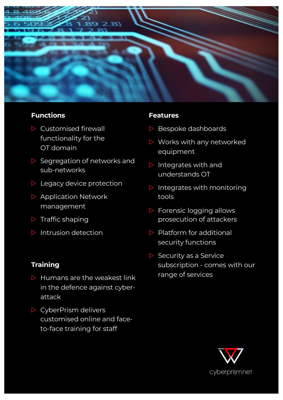

### **Functions**

- $\triangleright$  Customised firewall functionality for the OT domain
- ▷ Segregation of networks and sub-networks
- ▷ Legacy device protection
- ▷ Application Network management
- $\triangleright$  Traffic shaping
- $\triangleright$  Intrusion detection

## **Training**

- $\triangleright$  Humans are the weakest link in the defence against cyberattack
- ▷ CyberPrism delivers customised online and faceto-face training for staff

### **Features**

- ▷ Bespoke dashboards
- ▷ Works with any networked equipment
- ▷ Integrates with and understands OT
- $\triangleright$  Integrates with monitoring tools
- ▷ Forensic logging allows prosecution of attackers
- ▷ Platform for additional security functions
- $\triangleright$  Security as a Service subscription - comes with our range of services